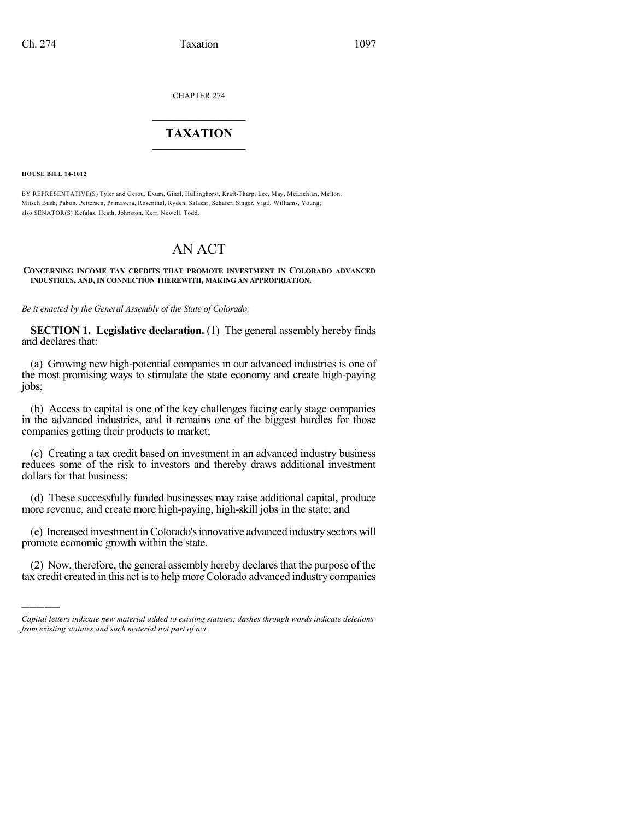CHAPTER 274

## $\overline{\phantom{a}}$  . The set of the set of the set of the set of the set of the set of the set of the set of the set of the set of the set of the set of the set of the set of the set of the set of the set of the set of the set o **TAXATION**  $\_$

**HOUSE BILL 14-1012**

)))))

BY REPRESENTATIVE(S) Tyler and Gerou, Exum, Ginal, Hullinghorst, Kraft-Tharp, Lee, May, McLachlan, Melton, Mitsch Bush, Pabon, Pettersen, Primavera, Rosenthal, Ryden, Salazar, Schafer, Singer, Vigil, Williams, Young; also SENATOR(S) Kefalas, Heath, Johnston, Kerr, Newell, Todd.

# AN ACT

#### **CONCERNING INCOME TAX CREDITS THAT PROMOTE INVESTMENT IN COLORADO ADVANCED INDUSTRIES, AND, IN CONNECTION THEREWITH, MAKING AN APPROPRIATION.**

*Be it enacted by the General Assembly of the State of Colorado:*

**SECTION 1. Legislative declaration.** (1) The general assembly hereby finds and declares that:

(a) Growing new high-potential companies in our advanced industries is one of the most promising ways to stimulate the state economy and create high-paying jobs;

(b) Access to capital is one of the key challenges facing early stage companies in the advanced industries, and it remains one of the biggest hurdles for those companies getting their products to market;

(c) Creating a tax credit based on investment in an advanced industry business reduces some of the risk to investors and thereby draws additional investment dollars for that business;

(d) These successfully funded businesses may raise additional capital, produce more revenue, and create more high-paying, high-skill jobs in the state; and

(e) Increased investment inColorado'sinnovative advanced industry sectors will promote economic growth within the state.

(2) Now, therefore, the general assembly hereby declaresthat the purpose of the tax credit created in this act isto help more Colorado advanced industry companies

*Capital letters indicate new material added to existing statutes; dashes through words indicate deletions from existing statutes and such material not part of act.*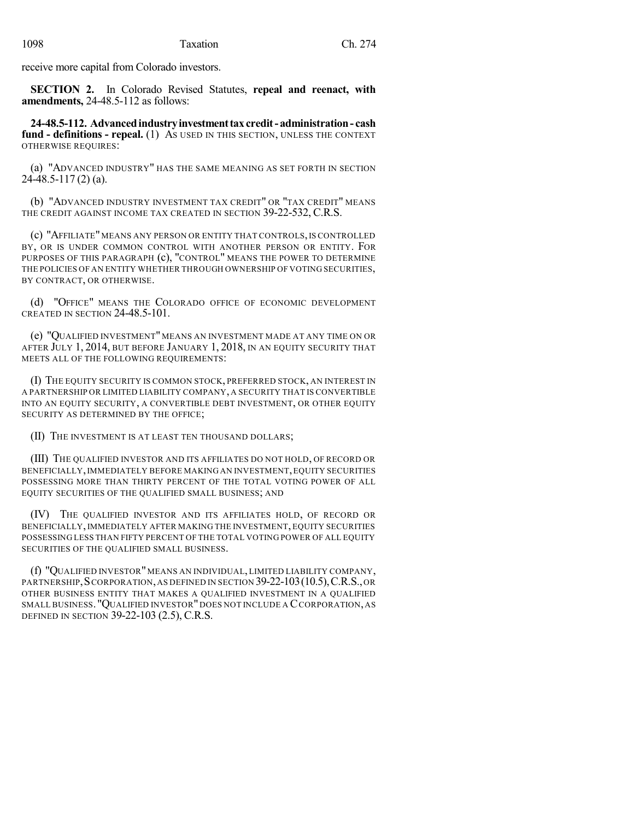receive more capital from Colorado investors.

**SECTION 2.** In Colorado Revised Statutes, **repeal and reenact, with amendments,** 24-48.5-112 as follows:

**24-48.5-112. Advancedindustryinvestmenttaxcredit- administration- cash fund - definitions - repeal.** (1) AS USED IN THIS SECTION, UNLESS THE CONTEXT OTHERWISE REQUIRES:

(a) "ADVANCED INDUSTRY" HAS THE SAME MEANING AS SET FORTH IN SECTION 24-48.5-117 (2) (a).

(b) "ADVANCED INDUSTRY INVESTMENT TAX CREDIT" OR "TAX CREDIT" MEANS THE CREDIT AGAINST INCOME TAX CREATED IN SECTION 39-22-532, C.R.S.

(c) "AFFILIATE"MEANS ANY PERSON OR ENTITY THAT CONTROLS,IS CONTROLLED BY, OR IS UNDER COMMON CONTROL WITH ANOTHER PERSON OR ENTITY. FOR PURPOSES OF THIS PARAGRAPH (c), "CONTROL" MEANS THE POWER TO DETERMINE THE POLICIES OF AN ENTITY WHETHER THROUGH OWNERSHIP OF VOTING SECURITIES, BY CONTRACT, OR OTHERWISE.

(d) "OFFICE" MEANS THE COLORADO OFFICE OF ECONOMIC DEVELOPMENT CREATED IN SECTION 24-48.5-101.

(e) "QUALIFIED INVESTMENT" MEANS AN INVESTMENT MADE AT ANY TIME ON OR AFTER JULY 1, 2014, BUT BEFORE JANUARY 1, 2018, IN AN EQUITY SECURITY THAT MEETS ALL OF THE FOLLOWING REQUIREMENTS:

(I) THE EQUITY SECURITY IS COMMON STOCK, PREFERRED STOCK, AN INTEREST IN A PARTNERSHIP OR LIMITED LIABILITY COMPANY, A SECURITY THAT IS CONVERTIBLE INTO AN EQUITY SECURITY, A CONVERTIBLE DEBT INVESTMENT, OR OTHER EQUITY SECURITY AS DETERMINED BY THE OFFICE;

(II) THE INVESTMENT IS AT LEAST TEN THOUSAND DOLLARS;

(III) THE QUALIFIED INVESTOR AND ITS AFFILIATES DO NOT HOLD, OF RECORD OR BENEFICIALLY,IMMEDIATELY BEFORE MAKING AN INVESTMENT,EQUITY SECURITIES POSSESSING MORE THAN THIRTY PERCENT OF THE TOTAL VOTING POWER OF ALL EQUITY SECURITIES OF THE QUALIFIED SMALL BUSINESS; AND

(IV) THE QUALIFIED INVESTOR AND ITS AFFILIATES HOLD, OF RECORD OR BENEFICIALLY, IMMEDIATELY AFTER MAKING THE INVESTMENT, EQUITY SECURITIES POSSESSING LESS THAN FIFTY PERCENT OF THE TOTAL VOTING POWER OF ALL EQUITY SECURITIES OF THE QUALIFIED SMALL BUSINESS.

(f) "QUALIFIED INVESTOR"MEANS AN INDIVIDUAL, LIMITED LIABILITY COMPANY, PARTNERSHIP, SCORPORATION, AS DEFINED IN SECTION 39-22-103 (10.5), C.R.S., OR OTHER BUSINESS ENTITY THAT MAKES A QUALIFIED INVESTMENT IN A QUALIFIED SMALL BUSINESS. "QUALIFIED INVESTOR" DOES NOT INCLUDE A CCORPORATION, AS DEFINED IN SECTION 39-22-103 (2.5), C.R.S.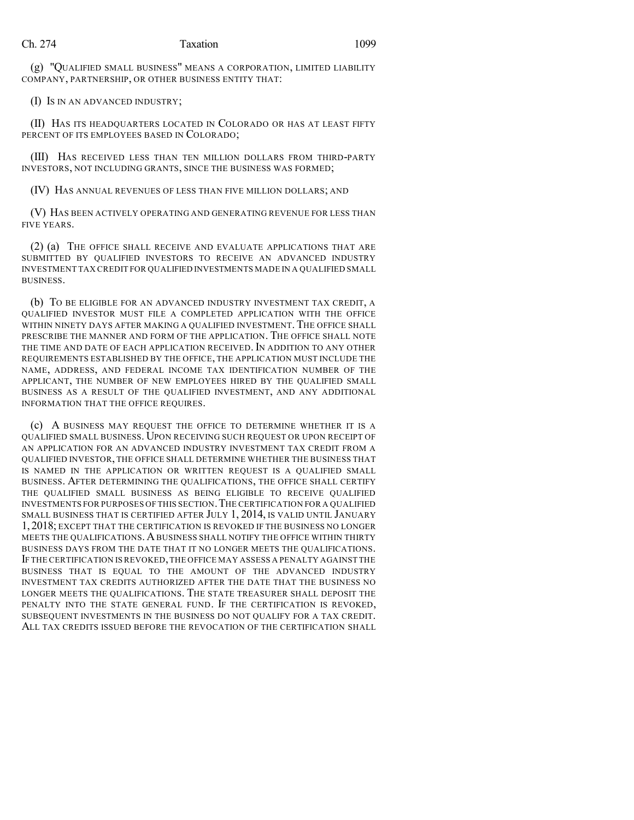#### Ch. 274 Taxation 1099

(g) "QUALIFIED SMALL BUSINESS" MEANS A CORPORATION, LIMITED LIABILITY COMPANY, PARTNERSHIP, OR OTHER BUSINESS ENTITY THAT:

(I) IS IN AN ADVANCED INDUSTRY;

(II) HAS ITS HEADQUARTERS LOCATED IN COLORADO OR HAS AT LEAST FIFTY PERCENT OF ITS EMPLOYEES BASED IN COLORADO;

(III) HAS RECEIVED LESS THAN TEN MILLION DOLLARS FROM THIRD-PARTY INVESTORS, NOT INCLUDING GRANTS, SINCE THE BUSINESS WAS FORMED;

(IV) HAS ANNUAL REVENUES OF LESS THAN FIVE MILLION DOLLARS; AND

(V) HAS BEEN ACTIVELY OPERATING AND GENERATING REVENUE FOR LESS THAN FIVE YEARS.

(2) (a) THE OFFICE SHALL RECEIVE AND EVALUATE APPLICATIONS THAT ARE SUBMITTED BY QUALIFIED INVESTORS TO RECEIVE AN ADVANCED INDUSTRY INVESTMENT TAX CREDIT FOR QUALIFIED INVESTMENTS MADE IN A QUALIFIED SMALL BUSINESS.

(b) TO BE ELIGIBLE FOR AN ADVANCED INDUSTRY INVESTMENT TAX CREDIT, A QUALIFIED INVESTOR MUST FILE A COMPLETED APPLICATION WITH THE OFFICE WITHIN NINETY DAYS AFTER MAKING A QUALIFIED INVESTMENT. THE OFFICE SHALL PRESCRIBE THE MANNER AND FORM OF THE APPLICATION. THE OFFICE SHALL NOTE THE TIME AND DATE OF EACH APPLICATION RECEIVED. IN ADDITION TO ANY OTHER REQUIREMENTS ESTABLISHED BY THE OFFICE, THE APPLICATION MUST INCLUDE THE NAME, ADDRESS, AND FEDERAL INCOME TAX IDENTIFICATION NUMBER OF THE APPLICANT, THE NUMBER OF NEW EMPLOYEES HIRED BY THE QUALIFIED SMALL BUSINESS AS A RESULT OF THE QUALIFIED INVESTMENT, AND ANY ADDITIONAL INFORMATION THAT THE OFFICE REQUIRES.

(c) A BUSINESS MAY REQUEST THE OFFICE TO DETERMINE WHETHER IT IS A QUALIFIED SMALL BUSINESS. UPON RECEIVING SUCH REQUEST OR UPON RECEIPT OF AN APPLICATION FOR AN ADVANCED INDUSTRY INVESTMENT TAX CREDIT FROM A QUALIFIED INVESTOR, THE OFFICE SHALL DETERMINE WHETHER THE BUSINESS THAT IS NAMED IN THE APPLICATION OR WRITTEN REQUEST IS A QUALIFIED SMALL BUSINESS. AFTER DETERMINING THE QUALIFICATIONS, THE OFFICE SHALL CERTIFY THE QUALIFIED SMALL BUSINESS AS BEING ELIGIBLE TO RECEIVE QUALIFIED INVESTMENTS FOR PURPOSES OF THIS SECTION.THE CERTIFICATION FOR A QUALIFIED SMALL BUSINESS THAT IS CERTIFIED AFTER JULY 1, 2014, IS VALID UNTIL JANUARY 1, 2018; EXCEPT THAT THE CERTIFICATION IS REVOKED IF THE BUSINESS NO LONGER MEETS THE QUALIFICATIONS. A BUSINESS SHALL NOTIFY THE OFFICE WITHIN THIRTY BUSINESS DAYS FROM THE DATE THAT IT NO LONGER MEETS THE QUALIFICATIONS. IF THE CERTIFICATION IS REVOKED,THE OFFICE MAY ASSESS A PENALTY AGAINST THE BUSINESS THAT IS EQUAL TO THE AMOUNT OF THE ADVANCED INDUSTRY INVESTMENT TAX CREDITS AUTHORIZED AFTER THE DATE THAT THE BUSINESS NO LONGER MEETS THE QUALIFICATIONS. THE STATE TREASURER SHALL DEPOSIT THE PENALTY INTO THE STATE GENERAL FUND. IF THE CERTIFICATION IS REVOKED, SUBSEQUENT INVESTMENTS IN THE BUSINESS DO NOT QUALIFY FOR A TAX CREDIT. ALL TAX CREDITS ISSUED BEFORE THE REVOCATION OF THE CERTIFICATION SHALL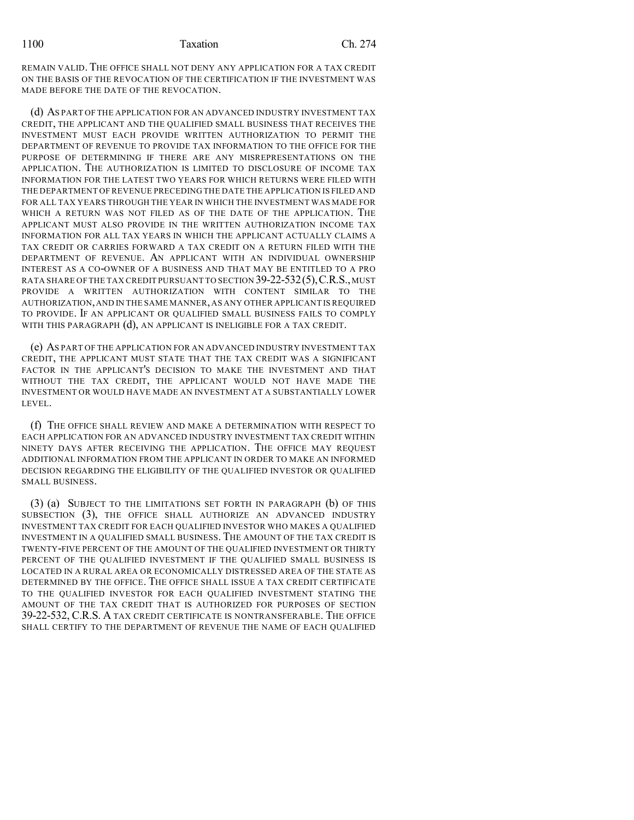#### 1100 Taxation Ch. 274

REMAIN VALID. THE OFFICE SHALL NOT DENY ANY APPLICATION FOR A TAX CREDIT ON THE BASIS OF THE REVOCATION OF THE CERTIFICATION IF THE INVESTMENT WAS MADE BEFORE THE DATE OF THE REVOCATION.

(d) AS PART OF THE APPLICATION FOR AN ADVANCED INDUSTRY INVESTMENT TAX CREDIT, THE APPLICANT AND THE QUALIFIED SMALL BUSINESS THAT RECEIVES THE INVESTMENT MUST EACH PROVIDE WRITTEN AUTHORIZATION TO PERMIT THE DEPARTMENT OF REVENUE TO PROVIDE TAX INFORMATION TO THE OFFICE FOR THE PURPOSE OF DETERMINING IF THERE ARE ANY MISREPRESENTATIONS ON THE APPLICATION. THE AUTHORIZATION IS LIMITED TO DISCLOSURE OF INCOME TAX INFORMATION FOR THE LATEST TWO YEARS FOR WHICH RETURNS WERE FILED WITH THE DEPARTMENT OF REVENUE PRECEDING THE DATE THE APPLICATION IS FILED AND FOR ALL TAX YEARS THROUGH THE YEAR IN WHICH THE INVESTMENT WAS MADE FOR WHICH A RETURN WAS NOT FILED AS OF THE DATE OF THE APPLICATION. THE APPLICANT MUST ALSO PROVIDE IN THE WRITTEN AUTHORIZATION INCOME TAX INFORMATION FOR ALL TAX YEARS IN WHICH THE APPLICANT ACTUALLY CLAIMS A TAX CREDIT OR CARRIES FORWARD A TAX CREDIT ON A RETURN FILED WITH THE DEPARTMENT OF REVENUE. AN APPLICANT WITH AN INDIVIDUAL OWNERSHIP INTEREST AS A CO-OWNER OF A BUSINESS AND THAT MAY BE ENTITLED TO A PRO RATA SHARE OF THE TAX CREDIT PURSUANT TO SECTION 39-22-532(5), C.R.S., MUST PROVIDE A WRITTEN AUTHORIZATION WITH CONTENT SIMILAR TO THE AUTHORIZATION,AND IN THE SAME MANNER,AS ANY OTHER APPLICANT IS REQUIRED TO PROVIDE. IF AN APPLICANT OR QUALIFIED SMALL BUSINESS FAILS TO COMPLY WITH THIS PARAGRAPH  $(d)$ , AN APPLICANT IS INELIGIBLE FOR A TAX CREDIT.

(e) AS PART OF THE APPLICATION FOR AN ADVANCED INDUSTRY INVESTMENT TAX CREDIT, THE APPLICANT MUST STATE THAT THE TAX CREDIT WAS A SIGNIFICANT FACTOR IN THE APPLICANT'S DECISION TO MAKE THE INVESTMENT AND THAT WITHOUT THE TAX CREDIT, THE APPLICANT WOULD NOT HAVE MADE THE INVESTMENT OR WOULD HAVE MADE AN INVESTMENT AT A SUBSTANTIALLY LOWER LEVEL.

(f) THE OFFICE SHALL REVIEW AND MAKE A DETERMINATION WITH RESPECT TO EACH APPLICATION FOR AN ADVANCED INDUSTRY INVESTMENT TAX CREDIT WITHIN NINETY DAYS AFTER RECEIVING THE APPLICATION. THE OFFICE MAY REQUEST ADDITIONAL INFORMATION FROM THE APPLICANT IN ORDER TO MAKE AN INFORMED DECISION REGARDING THE ELIGIBILITY OF THE QUALIFIED INVESTOR OR QUALIFIED SMALL BUSINESS.

(3) (a) SUBJECT TO THE LIMITATIONS SET FORTH IN PARAGRAPH (b) OF THIS SUBSECTION (3), THE OFFICE SHALL AUTHORIZE AN ADVANCED INDUSTRY INVESTMENT TAX CREDIT FOR EACH QUALIFIED INVESTOR WHO MAKES A QUALIFIED INVESTMENT IN A QUALIFIED SMALL BUSINESS. THE AMOUNT OF THE TAX CREDIT IS TWENTY-FIVE PERCENT OF THE AMOUNT OF THE QUALIFIED INVESTMENT OR THIRTY PERCENT OF THE QUALIFIED INVESTMENT IF THE QUALIFIED SMALL BUSINESS IS LOCATED IN A RURAL AREA OR ECONOMICALLY DISTRESSED AREA OF THE STATE AS DETERMINED BY THE OFFICE. THE OFFICE SHALL ISSUE A TAX CREDIT CERTIFICATE TO THE QUALIFIED INVESTOR FOR EACH QUALIFIED INVESTMENT STATING THE AMOUNT OF THE TAX CREDIT THAT IS AUTHORIZED FOR PURPOSES OF SECTION 39-22-532, C.R.S. A TAX CREDIT CERTIFICATE IS NONTRANSFERABLE. THE OFFICE SHALL CERTIFY TO THE DEPARTMENT OF REVENUE THE NAME OF EACH QUALIFIED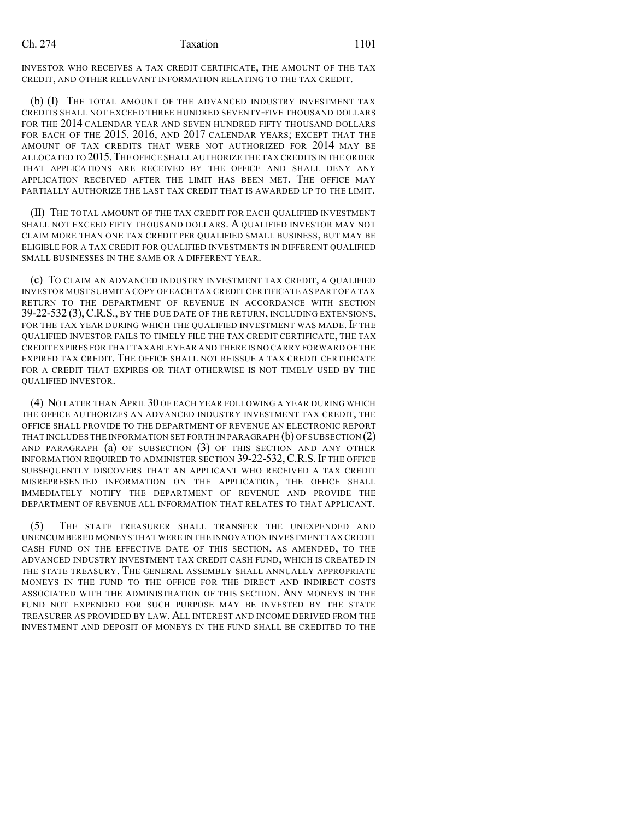#### Ch. 274 Taxation 1101

INVESTOR WHO RECEIVES A TAX CREDIT CERTIFICATE, THE AMOUNT OF THE TAX CREDIT, AND OTHER RELEVANT INFORMATION RELATING TO THE TAX CREDIT.

(b) (I) THE TOTAL AMOUNT OF THE ADVANCED INDUSTRY INVESTMENT TAX CREDITS SHALL NOT EXCEED THREE HUNDRED SEVENTY-FIVE THOUSAND DOLLARS FOR THE 2014 CALENDAR YEAR AND SEVEN HUNDRED FIFTY THOUSAND DOLLARS FOR EACH OF THE 2015, 2016, AND 2017 CALENDAR YEARS; EXCEPT THAT THE AMOUNT OF TAX CREDITS THAT WERE NOT AUTHORIZED FOR 2014 MAY BE ALLOCATED TO 2015.THE OFFICE SHALL AUTHORIZE THE TAX CREDITS IN THE ORDER THAT APPLICATIONS ARE RECEIVED BY THE OFFICE AND SHALL DENY ANY APPLICATION RECEIVED AFTER THE LIMIT HAS BEEN MET. THE OFFICE MAY PARTIALLY AUTHORIZE THE LAST TAX CREDIT THAT IS AWARDED UP TO THE LIMIT.

(II) THE TOTAL AMOUNT OF THE TAX CREDIT FOR EACH QUALIFIED INVESTMENT SHALL NOT EXCEED FIFTY THOUSAND DOLLARS. A QUALIFIED INVESTOR MAY NOT CLAIM MORE THAN ONE TAX CREDIT PER QUALIFIED SMALL BUSINESS, BUT MAY BE ELIGIBLE FOR A TAX CREDIT FOR QUALIFIED INVESTMENTS IN DIFFERENT QUALIFIED SMALL BUSINESSES IN THE SAME OR A DIFFERENT YEAR.

(c) TO CLAIM AN ADVANCED INDUSTRY INVESTMENT TAX CREDIT, A QUALIFIED INVESTOR MUST SUBMIT A COPY OF EACH TAX CREDIT CERTIFICATE AS PART OF A TAX RETURN TO THE DEPARTMENT OF REVENUE IN ACCORDANCE WITH SECTION 39-22-532 (3),C.R.S., BY THE DUE DATE OF THE RETURN, INCLUDING EXTENSIONS, FOR THE TAX YEAR DURING WHICH THE QUALIFIED INVESTMENT WAS MADE. IF THE QUALIFIED INVESTOR FAILS TO TIMELY FILE THE TAX CREDIT CERTIFICATE, THE TAX CREDIT EXPIRES FOR THAT TAXABLE YEAR AND THERE IS NO CARRY FORWARD OF THE EXPIRED TAX CREDIT. THE OFFICE SHALL NOT REISSUE A TAX CREDIT CERTIFICATE FOR A CREDIT THAT EXPIRES OR THAT OTHERWISE IS NOT TIMELY USED BY THE QUALIFIED INVESTOR.

(4) NO LATER THAN APRIL 30 OF EACH YEAR FOLLOWING A YEAR DURING WHICH THE OFFICE AUTHORIZES AN ADVANCED INDUSTRY INVESTMENT TAX CREDIT, THE OFFICE SHALL PROVIDE TO THE DEPARTMENT OF REVENUE AN ELECTRONIC REPORT THAT INCLUDES THE INFORMATION SET FORTH IN PARAGRAPH (b) OF SUBSECTION (2) AND PARAGRAPH (a) OF SUBSECTION (3) OF THIS SECTION AND ANY OTHER INFORMATION REQUIRED TO ADMINISTER SECTION 39-22-532,C.R.S.IF THE OFFICE SUBSEQUENTLY DISCOVERS THAT AN APPLICANT WHO RECEIVED A TAX CREDIT MISREPRESENTED INFORMATION ON THE APPLICATION, THE OFFICE SHALL IMMEDIATELY NOTIFY THE DEPARTMENT OF REVENUE AND PROVIDE THE DEPARTMENT OF REVENUE ALL INFORMATION THAT RELATES TO THAT APPLICANT.

(5) THE STATE TREASURER SHALL TRANSFER THE UNEXPENDED AND UNENCUMBERED MONEYS THAT WERE IN THE INNOVATION INVESTMENT TAX CREDIT CASH FUND ON THE EFFECTIVE DATE OF THIS SECTION, AS AMENDED, TO THE ADVANCED INDUSTRY INVESTMENT TAX CREDIT CASH FUND, WHICH IS CREATED IN THE STATE TREASURY. THE GENERAL ASSEMBLY SHALL ANNUALLY APPROPRIATE MONEYS IN THE FUND TO THE OFFICE FOR THE DIRECT AND INDIRECT COSTS ASSOCIATED WITH THE ADMINISTRATION OF THIS SECTION. ANY MONEYS IN THE FUND NOT EXPENDED FOR SUCH PURPOSE MAY BE INVESTED BY THE STATE TREASURER AS PROVIDED BY LAW. ALL INTEREST AND INCOME DERIVED FROM THE INVESTMENT AND DEPOSIT OF MONEYS IN THE FUND SHALL BE CREDITED TO THE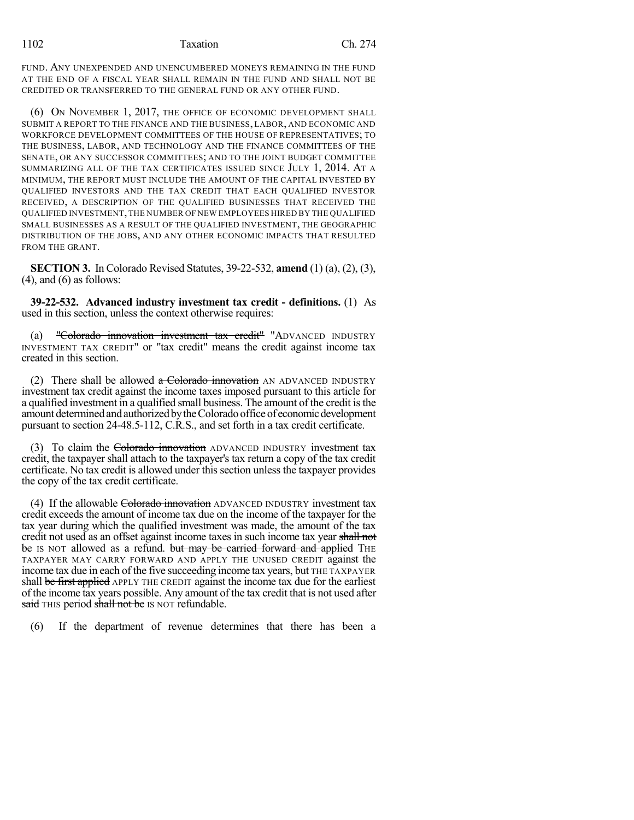FUND. ANY UNEXPENDED AND UNENCUMBERED MONEYS REMAINING IN THE FUND AT THE END OF A FISCAL YEAR SHALL REMAIN IN THE FUND AND SHALL NOT BE CREDITED OR TRANSFERRED TO THE GENERAL FUND OR ANY OTHER FUND.

(6) ON NOVEMBER 1, 2017, THE OFFICE OF ECONOMIC DEVELOPMENT SHALL SUBMIT A REPORT TO THE FINANCE AND THE BUSINESS, LABOR, AND ECONOMIC AND WORKFORCE DEVELOPMENT COMMITTEES OF THE HOUSE OF REPRESENTATIVES; TO THE BUSINESS, LABOR, AND TECHNOLOGY AND THE FINANCE COMMITTEES OF THE SENATE, OR ANY SUCCESSOR COMMITTEES; AND TO THE JOINT BUDGET COMMITTEE SUMMARIZING ALL OF THE TAX CERTIFICATES ISSUED SINCE JULY 1, 2014. AT A MINIMUM, THE REPORT MUST INCLUDE THE AMOUNT OF THE CAPITAL INVESTED BY QUALIFIED INVESTORS AND THE TAX CREDIT THAT EACH QUALIFIED INVESTOR RECEIVED, A DESCRIPTION OF THE QUALIFIED BUSINESSES THAT RECEIVED THE QUALIFIED INVESTMENT,THE NUMBER OF NEW EMPLOYEES HIRED BY THE QUALIFIED SMALL BUSINESSES AS A RESULT OF THE QUALIFIED INVESTMENT, THE GEOGRAPHIC DISTRIBUTION OF THE JOBS, AND ANY OTHER ECONOMIC IMPACTS THAT RESULTED FROM THE GRANT.

**SECTION 3.** In Colorado Revised Statutes, 39-22-532, **amend** (1) (a), (2), (3),  $(4)$ , and  $(6)$  as follows:

**39-22-532. Advanced industry investment tax credit - definitions.** (1) As used in this section, unless the context otherwise requires:

"Colorado innovation investment tax credit" "ADVANCED INDUSTRY INVESTMENT TAX CREDIT" or "tax credit" means the credit against income tax created in this section.

(2) There shall be allowed  $\alpha$  Colorado innovation AN ADVANCED INDUSTRY investment tax credit against the income taxes imposed pursuant to this article for a qualified investment in a qualified small business. The amount of the credit is the amount determined and authorized by the Colorado office of economic development pursuant to section 24-48.5-112, C.R.S., and set forth in a tax credit certificate.

(3) To claim the Colorado innovation ADVANCED INDUSTRY investment tax credit, the taxpayer shall attach to the taxpayer's tax return a copy of the tax credit certificate. No tax credit is allowed under this section unless the taxpayer provides the copy of the tax credit certificate.

(4) If the allowable Colorado innovation ADVANCED INDUSTRY investment tax credit exceeds the amount of income tax due on the income of the taxpayer for the tax year during which the qualified investment was made, the amount of the tax credit not used as an offset against income taxes in such income tax year shall not be IS NOT allowed as a refund. but may be carried forward and applied THE TAXPAYER MAY CARRY FORWARD AND APPLY THE UNUSED CREDIT against the income tax due in each of the five succeeding income tax years, but THE TAXPAYER shall be first applied APPLY THE CREDIT against the income tax due for the earliest of the income tax years possible. Any amount of the tax credit that is not used after said THIS period shall not be IS NOT refundable.

(6) If the department of revenue determines that there has been a